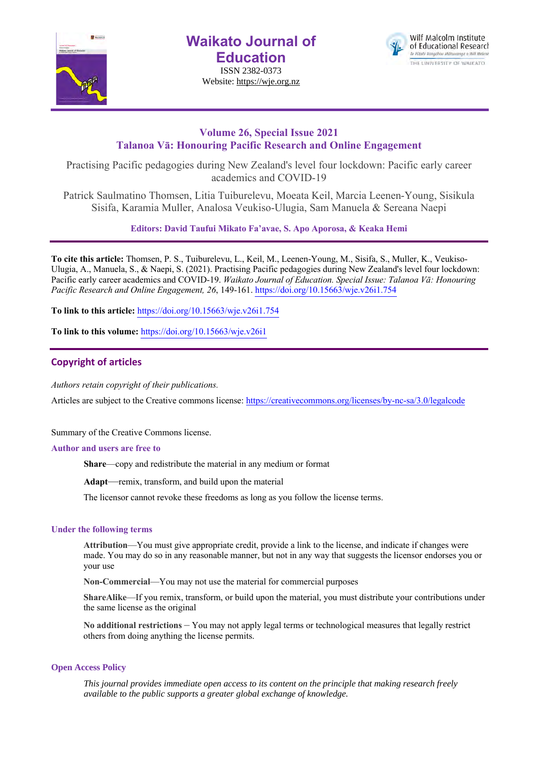

**Waikato Journal of Education** ISSN 2382-0373

Website: https://wje.org.nz



# **Volume 26, Special Issue 2021 Talanoa Vā: Honouring Pacific Research and Online Engagement**

Practising Pacific pedagogies during New Zealand's level four lockdown: Pacific early career academics and COVID-19

Patrick Saulmatino Thomsen, Litia Tuiburelevu, Moeata Keil, Marcia Leenen-Young, Sisikula Sisifa, Karamia Muller, Analosa Veukiso-Ulugia, Sam Manuela & Sereana Naepi

**Editors: David Taufui Mikato Fa'avae, S. Apo Aporosa, & Keaka Hemi**

**To cite this article:** Thomsen, P. S., Tuiburelevu, L., Keil, M., Leenen-Young, M., Sisifa, S., Muller, K., Veukiso-Ulugia, A., Manuela, S., & Naepi, S. (2021). Practising Pacific pedagogies during New Zealand's level four lockdown: Pacific early career academics and COVID-19. *Waikato Journal of Education. Special Issue: Talanoa Vā: Honouring Pacific Research and Online Engagement, 26*, 149-161. https://doi.org/10.15663/wje.v26i1.754

**To link to this article:** https://doi.org/10.15663/wje.v26i1.754

**To link to this volume:** https://doi.org/10.15663/wje.v26i1

## **Copyright of articles**

*Authors retain copyright of their publications.*

Articles are subject to the Creative commons license: https://creativecommons.org/licenses/by-nc-sa/3.0/legalcode

Summary of the Creative Commons license.

#### **Author and users are free to**

**Share**—copy and redistribute the material in any medium or format

**Adapt**—remix, transform, and build upon the material

The licensor cannot revoke these freedoms as long as you follow the license terms.

#### **Under the following terms**

**Attribution**—You must give appropriate credit, provide a link to the license, and indicate if changes were made. You may do so in any reasonable manner, but not in any way that suggests the licensor endorses you or your use

**Non-Commercial**—You may not use the material for commercial purposes

**ShareAlike**—If you remix, transform, or build upon the material, you must distribute your contributions under the same license as the original

**No additional restrictions** – You may not apply legal terms or technological measures that legally restrict others from doing anything the license permits.

### **Open Access Policy**

*This journal provides immediate open access to its content on the principle that making research freely available to the public supports a greater global exchange of knowledge.*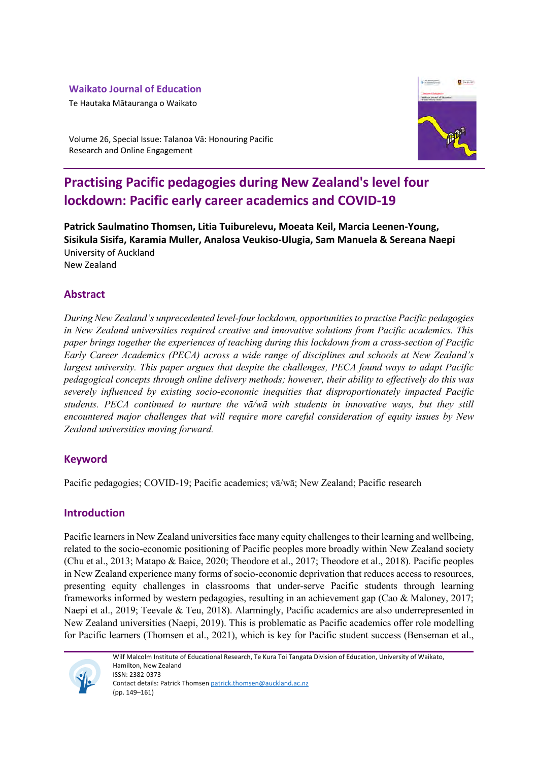# **Waikato Journal of Education**

Te Hautaka Mātauranga o Waikato



Volume 26, Special Issue: Talanoa Vā: Honouring Pacific Research and Online Engagement

# **Practising Pacific pedagogies during New Zealand's level four lockdown: Pacific early career academics and COVID-19**

**Patrick Saulmatino Thomsen, Litia Tuiburelevu, Moeata Keil, Marcia Leenen-Young, Sisikula Sisifa, Karamia Muller, Analosa Veukiso-Ulugia, Sam Manuela & Sereana Naepi** University of Auckland New Zealand

# **Abstract**

*During New Zealand's unprecedented level-four lockdown, opportunities to practise Pacific pedagogies in New Zealand universities required creative and innovative solutions from Pacific academics. This paper brings together the experiences of teaching during this lockdown from a cross-section of Pacific Early Career Academics (PECA) across a wide range of disciplines and schools at New Zealand's largest university. This paper argues that despite the challenges, PECA found ways to adapt Pacific pedagogical concepts through online delivery methods; however, their ability to effectively do this was severely influenced by existing socio-economic inequities that disproportionately impacted Pacific students. PECA continued to nurture the vā/wā with students in innovative ways, but they still encountered major challenges that will require more careful consideration of equity issues by New Zealand universities moving forward.*

# **Keyword**

Pacific pedagogies; COVID-19; Pacific academics; vā/wā; New Zealand; Pacific research

## **Introduction**

Pacific learners in New Zealand universities face many equity challenges to their learning and wellbeing, related to the socio-economic positioning of Pacific peoples more broadly within New Zealand society (Chu et al., 2013; Matapo & Baice, 2020; Theodore et al., 2017; Theodore et al., 2018). Pacific peoples in New Zealand experience many forms of socio-economic deprivation that reduces access to resources, presenting equity challenges in classrooms that under-serve Pacific students through learning frameworks informed by western pedagogies, resulting in an achievement gap (Cao & Maloney, 2017; Naepi et al., 2019; Teevale & Teu, 2018). Alarmingly, Pacific academics are also underrepresented in New Zealand universities (Naepi, 2019). This is problematic as Pacific academics offer role modelling for Pacific learners (Thomsen et al., 2021), which is key for Pacific student success (Benseman et al.,



Wilf Malcolm Institute of Educational Research, Te Kura Toi Tangata Division of Education, University of Waikato, Hamilton, New Zealand ISSN: 2382-0373 Contact details: Patrick Thomsen patrick.thomsen@auckland.ac.nz (pp. 149–161)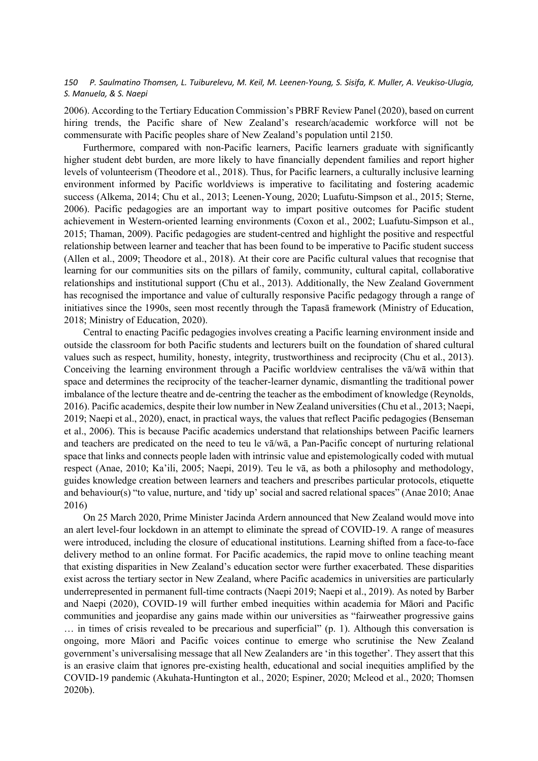2006). According to the Tertiary Education Commission's PBRF Review Panel (2020), based on current hiring trends, the Pacific share of New Zealand's research/academic workforce will not be commensurate with Pacific peoples share of New Zealand's population until 2150.

Furthermore, compared with non-Pacific learners, Pacific learners graduate with significantly higher student debt burden, are more likely to have financially dependent families and report higher levels of volunteerism (Theodore et al., 2018). Thus, for Pacific learners, a culturally inclusive learning environment informed by Pacific worldviews is imperative to facilitating and fostering academic success (Alkema, 2014; Chu et al., 2013; Leenen-Young, 2020; Luafutu-Simpson et al., 2015; Sterne, 2006). Pacific pedagogies are an important way to impart positive outcomes for Pacific student achievement in Western-oriented learning environments (Coxon et al., 2002; Luafutu-Simpson et al., 2015; Thaman, 2009). Pacific pedagogies are student-centred and highlight the positive and respectful relationship between learner and teacher that has been found to be imperative to Pacific student success (Allen et al., 2009; Theodore et al., 2018). At their core are Pacific cultural values that recognise that learning for our communities sits on the pillars of family, community, cultural capital, collaborative relationships and institutional support (Chu et al., 2013). Additionally, the New Zealand Government has recognised the importance and value of culturally responsive Pacific pedagogy through a range of initiatives since the 1990s, seen most recently through the Tapasā framework (Ministry of Education, 2018; Ministry of Education, 2020).

Central to enacting Pacific pedagogies involves creating a Pacific learning environment inside and outside the classroom for both Pacific students and lecturers built on the foundation of shared cultural values such as respect, humility, honesty, integrity, trustworthiness and reciprocity (Chu et al., 2013). Conceiving the learning environment through a Pacific worldview centralises the vā/wā within that space and determines the reciprocity of the teacher-learner dynamic, dismantling the traditional power imbalance of the lecture theatre and de-centring the teacher as the embodiment of knowledge (Reynolds, 2016). Pacific academics, despite their low number in New Zealand universities (Chu et al., 2013; Naepi, 2019; Naepi et al., 2020), enact, in practical ways, the values that reflect Pacific pedagogies (Benseman et al., 2006). This is because Pacific academics understand that relationships between Pacific learners and teachers are predicated on the need to teu le vā/wā, a Pan-Pacific concept of nurturing relational space that links and connects people laden with intrinsic value and epistemologically coded with mutual respect (Anae, 2010; Ka'ili, 2005; Naepi, 2019). Teu le vā, as both a philosophy and methodology, guides knowledge creation between learners and teachers and prescribes particular protocols, etiquette and behaviour(s) "to value, nurture, and 'tidy up' social and sacred relational spaces" (Anae 2010; Anae 2016)

On 25 March 2020, Prime Minister Jacinda Ardern announced that New Zealand would move into an alert level-four lockdown in an attempt to eliminate the spread of COVID-19. A range of measures were introduced, including the closure of educational institutions. Learning shifted from a face-to-face delivery method to an online format. For Pacific academics, the rapid move to online teaching meant that existing disparities in New Zealand's education sector were further exacerbated. These disparities exist across the tertiary sector in New Zealand, where Pacific academics in universities are particularly underrepresented in permanent full-time contracts (Naepi 2019; Naepi et al., 2019). As noted by Barber and Naepi (2020), COVID-19 will further embed inequities within academia for Māori and Pacific communities and jeopardise any gains made within our universities as "fairweather progressive gains … in times of crisis revealed to be precarious and superficial" (p. 1). Although this conversation is ongoing, more Māori and Pacific voices continue to emerge who scrutinise the New Zealand government's universalising message that all New Zealanders are 'in this together'. They assert that this is an erasive claim that ignores pre-existing health, educational and social inequities amplified by the COVID-19 pandemic (Akuhata-Huntington et al., 2020; Espiner, 2020; Mcleod et al., 2020; Thomsen 2020b).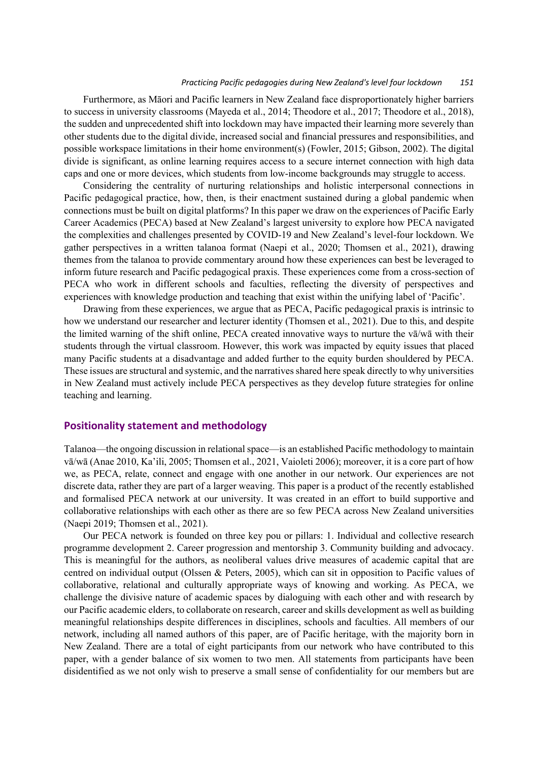#### *Practicing Pacific pedagogies during New Zealand's level four lockdown 151*

Furthermore, as Māori and Pacific learners in New Zealand face disproportionately higher barriers to success in university classrooms (Mayeda et al., 2014; Theodore et al., 2017; Theodore et al., 2018), the sudden and unprecedented shift into lockdown may have impacted their learning more severely than other students due to the digital divide, increased social and financial pressures and responsibilities, and possible workspace limitations in their home environment(s) (Fowler, 2015; Gibson, 2002). The digital divide is significant, as online learning requires access to a secure internet connection with high data caps and one or more devices, which students from low-income backgrounds may struggle to access.

Considering the centrality of nurturing relationships and holistic interpersonal connections in Pacific pedagogical practice, how, then, is their enactment sustained during a global pandemic when connections must be built on digital platforms? In this paper we draw on the experiences of Pacific Early Career Academics (PECA) based at New Zealand's largest university to explore how PECA navigated the complexities and challenges presented by COVID-19 and New Zealand's level-four lockdown. We gather perspectives in a written talanoa format (Naepi et al., 2020; Thomsen et al., 2021), drawing themes from the talanoa to provide commentary around how these experiences can best be leveraged to inform future research and Pacific pedagogical praxis. These experiences come from a cross-section of PECA who work in different schools and faculties, reflecting the diversity of perspectives and experiences with knowledge production and teaching that exist within the unifying label of 'Pacific'.

Drawing from these experiences, we argue that as PECA, Pacific pedagogical praxis is intrinsic to how we understand our researcher and lecturer identity (Thomsen et al., 2021). Due to this, and despite the limited warning of the shift online, PECA created innovative ways to nurture the vā/wā with their students through the virtual classroom. However, this work was impacted by equity issues that placed many Pacific students at a disadvantage and added further to the equity burden shouldered by PECA. These issues are structural and systemic, and the narratives shared here speak directly to why universities in New Zealand must actively include PECA perspectives as they develop future strategies for online teaching and learning.

#### **Positionality statement and methodology**

Talanoa—the ongoing discussion in relational space—is an established Pacific methodology to maintain vā/wā (Anae 2010, Ka'ili, 2005; Thomsen et al., 2021, Vaioleti 2006); moreover, it is a core part of how we, as PECA, relate, connect and engage with one another in our network. Our experiences are not discrete data, rather they are part of a larger weaving. This paper is a product of the recently established and formalised PECA network at our university. It was created in an effort to build supportive and collaborative relationships with each other as there are so few PECA across New Zealand universities (Naepi 2019; Thomsen et al., 2021).

Our PECA network is founded on three key pou or pillars: 1. Individual and collective research programme development 2. Career progression and mentorship 3. Community building and advocacy. This is meaningful for the authors, as neoliberal values drive measures of academic capital that are centred on individual output (Olssen & Peters, 2005), which can sit in opposition to Pacific values of collaborative, relational and culturally appropriate ways of knowing and working. As PECA, we challenge the divisive nature of academic spaces by dialoguing with each other and with research by our Pacific academic elders, to collaborate on research, career and skills development as well as building meaningful relationships despite differences in disciplines, schools and faculties. All members of our network, including all named authors of this paper, are of Pacific heritage, with the majority born in New Zealand. There are a total of eight participants from our network who have contributed to this paper, with a gender balance of six women to two men. All statements from participants have been disidentified as we not only wish to preserve a small sense of confidentiality for our members but are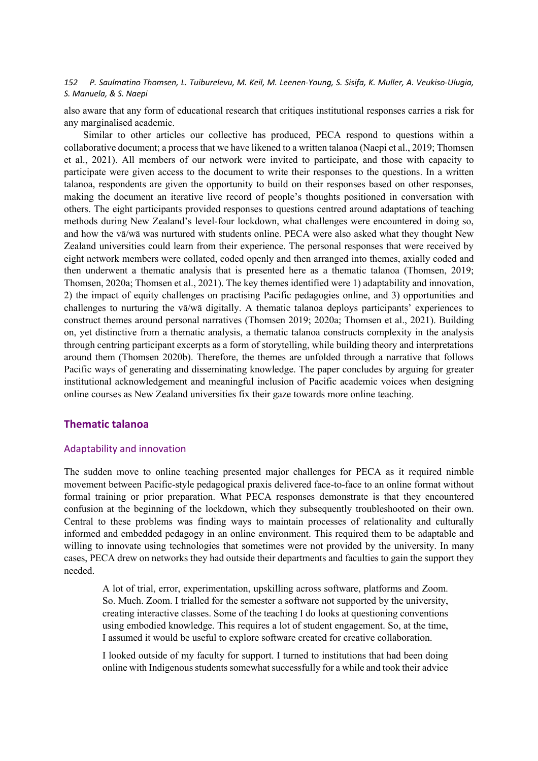also aware that any form of educational research that critiques institutional responses carries a risk for any marginalised academic.

Similar to other articles our collective has produced, PECA respond to questions within a collaborative document; a process that we have likened to a written talanoa (Naepi et al., 2019; Thomsen et al., 2021). All members of our network were invited to participate, and those with capacity to participate were given access to the document to write their responses to the questions. In a written talanoa, respondents are given the opportunity to build on their responses based on other responses, making the document an iterative live record of people's thoughts positioned in conversation with others. The eight participants provided responses to questions centred around adaptations of teaching methods during New Zealand's level-four lockdown, what challenges were encountered in doing so, and how the vā/wā was nurtured with students online. PECA were also asked what they thought New Zealand universities could learn from their experience. The personal responses that were received by eight network members were collated, coded openly and then arranged into themes, axially coded and then underwent a thematic analysis that is presented here as a thematic talanoa (Thomsen, 2019; Thomsen, 2020a; Thomsen et al., 2021). The key themes identified were 1) adaptability and innovation, 2) the impact of equity challenges on practising Pacific pedagogies online, and 3) opportunities and challenges to nurturing the vā/wā digitally. A thematic talanoa deploys participants' experiences to construct themes around personal narratives (Thomsen 2019; 2020a; Thomsen et al., 2021). Building on, yet distinctive from a thematic analysis, a thematic talanoa constructs complexity in the analysis through centring participant excerpts as a form of storytelling, while building theory and interpretations around them (Thomsen 2020b). Therefore, the themes are unfolded through a narrative that follows Pacific ways of generating and disseminating knowledge. The paper concludes by arguing for greater institutional acknowledgement and meaningful inclusion of Pacific academic voices when designing online courses as New Zealand universities fix their gaze towards more online teaching.

### **Thematic talanoa**

### Adaptability and innovation

The sudden move to online teaching presented major challenges for PECA as it required nimble movement between Pacific-style pedagogical praxis delivered face-to-face to an online format without formal training or prior preparation. What PECA responses demonstrate is that they encountered confusion at the beginning of the lockdown, which they subsequently troubleshooted on their own. Central to these problems was finding ways to maintain processes of relationality and culturally informed and embedded pedagogy in an online environment. This required them to be adaptable and willing to innovate using technologies that sometimes were not provided by the university. In many cases, PECA drew on networks they had outside their departments and faculties to gain the support they needed.

A lot of trial, error, experimentation, upskilling across software, platforms and Zoom. So. Much. Zoom. I trialled for the semester a software not supported by the university, creating interactive classes. Some of the teaching I do looks at questioning conventions using embodied knowledge. This requires a lot of student engagement. So, at the time, I assumed it would be useful to explore software created for creative collaboration.

I looked outside of my faculty for support. I turned to institutions that had been doing online with Indigenous students somewhat successfully for a while and took their advice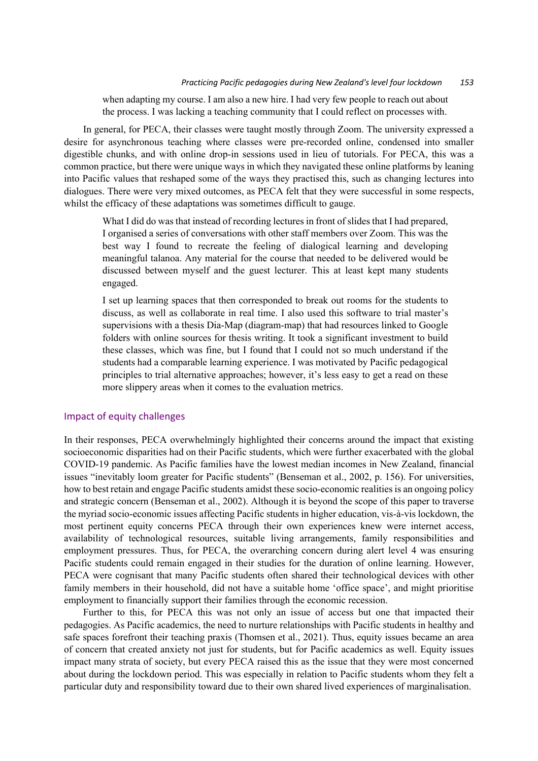when adapting my course. I am also a new hire. I had very few people to reach out about the process. I was lacking a teaching community that I could reflect on processes with.

In general, for PECA, their classes were taught mostly through Zoom. The university expressed a desire for asynchronous teaching where classes were pre-recorded online, condensed into smaller digestible chunks, and with online drop-in sessions used in lieu of tutorials. For PECA, this was a common practice, but there were unique ways in which they navigated these online platforms by leaning into Pacific values that reshaped some of the ways they practised this, such as changing lectures into dialogues. There were very mixed outcomes, as PECA felt that they were successful in some respects, whilst the efficacy of these adaptations was sometimes difficult to gauge.

What I did do was that instead of recording lectures in front of slides that I had prepared, I organised a series of conversations with other staff members over Zoom. This was the best way I found to recreate the feeling of dialogical learning and developing meaningful talanoa. Any material for the course that needed to be delivered would be discussed between myself and the guest lecturer. This at least kept many students engaged.

I set up learning spaces that then corresponded to break out rooms for the students to discuss, as well as collaborate in real time. I also used this software to trial master's supervisions with a thesis Dia-Map (diagram-map) that had resources linked to Google folders with online sources for thesis writing. It took a significant investment to build these classes, which was fine, but I found that I could not so much understand if the students had a comparable learning experience. I was motivated by Pacific pedagogical principles to trial alternative approaches; however, it's less easy to get a read on these more slippery areas when it comes to the evaluation metrics.

#### Impact of equity challenges

In their responses, PECA overwhelmingly highlighted their concerns around the impact that existing socioeconomic disparities had on their Pacific students, which were further exacerbated with the global COVID-19 pandemic. As Pacific families have the lowest median incomes in New Zealand, financial issues "inevitably loom greater for Pacific students" (Benseman et al., 2002, p. 156). For universities, how to best retain and engage Pacific students amidst these socio-economic realities is an ongoing policy and strategic concern (Benseman et al., 2002). Although it is beyond the scope of this paper to traverse the myriad socio-economic issues affecting Pacific students in higher education, vis-à-vis lockdown, the most pertinent equity concerns PECA through their own experiences knew were internet access, availability of technological resources, suitable living arrangements, family responsibilities and employment pressures. Thus, for PECA, the overarching concern during alert level 4 was ensuring Pacific students could remain engaged in their studies for the duration of online learning. However, PECA were cognisant that many Pacific students often shared their technological devices with other family members in their household, did not have a suitable home 'office space', and might prioritise employment to financially support their families through the economic recession.

Further to this, for PECA this was not only an issue of access but one that impacted their pedagogies. As Pacific academics, the need to nurture relationships with Pacific students in healthy and safe spaces forefront their teaching praxis (Thomsen et al., 2021). Thus, equity issues became an area of concern that created anxiety not just for students, but for Pacific academics as well. Equity issues impact many strata of society, but every PECA raised this as the issue that they were most concerned about during the lockdown period. This was especially in relation to Pacific students whom they felt a particular duty and responsibility toward due to their own shared lived experiences of marginalisation.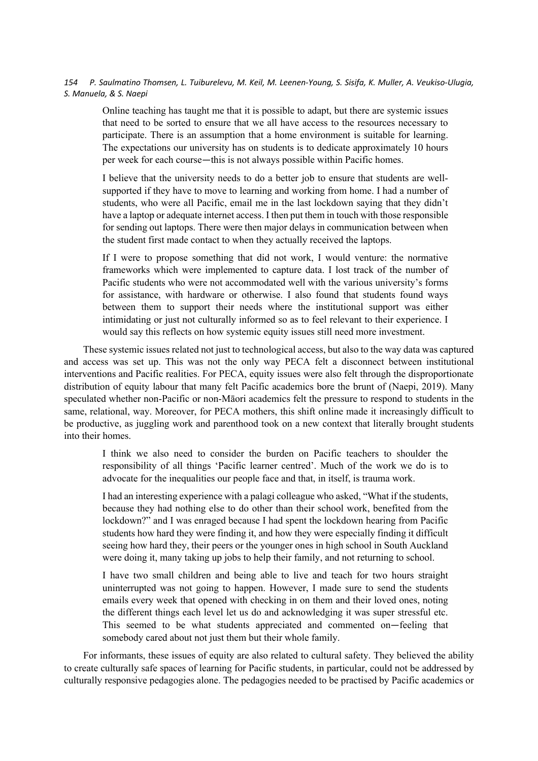Online teaching has taught me that it is possible to adapt, but there are systemic issues that need to be sorted to ensure that we all have access to the resources necessary to participate. There is an assumption that a home environment is suitable for learning. The expectations our university has on students is to dedicate approximately 10 hours per week for each course—this is not always possible within Pacific homes.

I believe that the university needs to do a better job to ensure that students are wellsupported if they have to move to learning and working from home. I had a number of students, who were all Pacific, email me in the last lockdown saying that they didn't have a laptop or adequate internet access. I then put them in touch with those responsible for sending out laptops. There were then major delays in communication between when the student first made contact to when they actually received the laptops.

If I were to propose something that did not work, I would venture: the normative frameworks which were implemented to capture data. I lost track of the number of Pacific students who were not accommodated well with the various university's forms for assistance, with hardware or otherwise. I also found that students found ways between them to support their needs where the institutional support was either intimidating or just not culturally informed so as to feel relevant to their experience. I would say this reflects on how systemic equity issues still need more investment.

These systemic issues related not just to technological access, but also to the way data was captured and access was set up. This was not the only way PECA felt a disconnect between institutional interventions and Pacific realities. For PECA, equity issues were also felt through the disproportionate distribution of equity labour that many felt Pacific academics bore the brunt of (Naepi, 2019). Many speculated whether non-Pacific or non-Māori academics felt the pressure to respond to students in the same, relational, way. Moreover, for PECA mothers, this shift online made it increasingly difficult to be productive, as juggling work and parenthood took on a new context that literally brought students into their homes.

I think we also need to consider the burden on Pacific teachers to shoulder the responsibility of all things 'Pacific learner centred'. Much of the work we do is to advocate for the inequalities our people face and that, in itself, is trauma work.

I had an interesting experience with a palagi colleague who asked, "What if the students, because they had nothing else to do other than their school work, benefited from the lockdown?" and I was enraged because I had spent the lockdown hearing from Pacific students how hard they were finding it, and how they were especially finding it difficult seeing how hard they, their peers or the younger ones in high school in South Auckland were doing it, many taking up jobs to help their family, and not returning to school.

I have two small children and being able to live and teach for two hours straight uninterrupted was not going to happen. However, I made sure to send the students emails every week that opened with checking in on them and their loved ones, noting the different things each level let us do and acknowledging it was super stressful etc. This seemed to be what students appreciated and commented on—feeling that somebody cared about not just them but their whole family.

For informants, these issues of equity are also related to cultural safety. They believed the ability to create culturally safe spaces of learning for Pacific students, in particular, could not be addressed by culturally responsive pedagogies alone. The pedagogies needed to be practised by Pacific academics or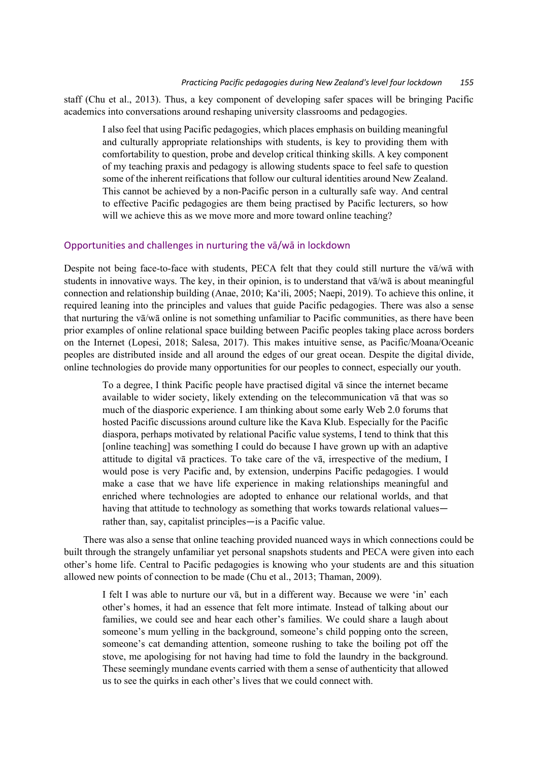staff (Chu et al., 2013). Thus, a key component of developing safer spaces will be bringing Pacific academics into conversations around reshaping university classrooms and pedagogies.

I also feel that using Pacific pedagogies, which places emphasis on building meaningful and culturally appropriate relationships with students, is key to providing them with comfortability to question, probe and develop critical thinking skills. A key component of my teaching praxis and pedagogy is allowing students space to feel safe to question some of the inherent reifications that follow our cultural identities around New Zealand. This cannot be achieved by a non-Pacific person in a culturally safe way. And central to effective Pacific pedagogies are them being practised by Pacific lecturers, so how will we achieve this as we move more and more toward online teaching?

### Opportunities and challenges in nurturing the vā/wā in lockdown

Despite not being face-to-face with students, PECA felt that they could still nurture the vā/wā with students in innovative ways. The key, in their opinion, is to understand that vā/wā is about meaningful connection and relationship building (Anae, 2010; Ka'ili, 2005; Naepi, 2019). To achieve this online, it required leaning into the principles and values that guide Pacific pedagogies. There was also a sense that nurturing the vā/wā online is not something unfamiliar to Pacific communities, as there have been prior examples of online relational space building between Pacific peoples taking place across borders on the Internet (Lopesi, 2018; Salesa, 2017). This makes intuitive sense, as Pacific/Moana/Oceanic peoples are distributed inside and all around the edges of our great ocean. Despite the digital divide, online technologies do provide many opportunities for our peoples to connect, especially our youth.

To a degree, I think Pacific people have practised digital vā since the internet became available to wider society, likely extending on the telecommunication vā that was so much of the diasporic experience. I am thinking about some early Web 2.0 forums that hosted Pacific discussions around culture like the Kava Klub. Especially for the Pacific diaspora, perhaps motivated by relational Pacific value systems, I tend to think that this [online teaching] was something I could do because I have grown up with an adaptive attitude to digital vā practices. To take care of the vā, irrespective of the medium, I would pose is very Pacific and, by extension, underpins Pacific pedagogies. I would make a case that we have life experience in making relationships meaningful and enriched where technologies are adopted to enhance our relational worlds, and that having that attitude to technology as something that works towards relational values rather than, say, capitalist principles—is a Pacific value.

There was also a sense that online teaching provided nuanced ways in which connections could be built through the strangely unfamiliar yet personal snapshots students and PECA were given into each other's home life. Central to Pacific pedagogies is knowing who your students are and this situation allowed new points of connection to be made (Chu et al., 2013; Thaman, 2009).

I felt I was able to nurture our vā, but in a different way. Because we were 'in' each other's homes, it had an essence that felt more intimate. Instead of talking about our families, we could see and hear each other's families. We could share a laugh about someone's mum yelling in the background, someone's child popping onto the screen, someone's cat demanding attention, someone rushing to take the boiling pot off the stove, me apologising for not having had time to fold the laundry in the background. These seemingly mundane events carried with them a sense of authenticity that allowed us to see the quirks in each other's lives that we could connect with.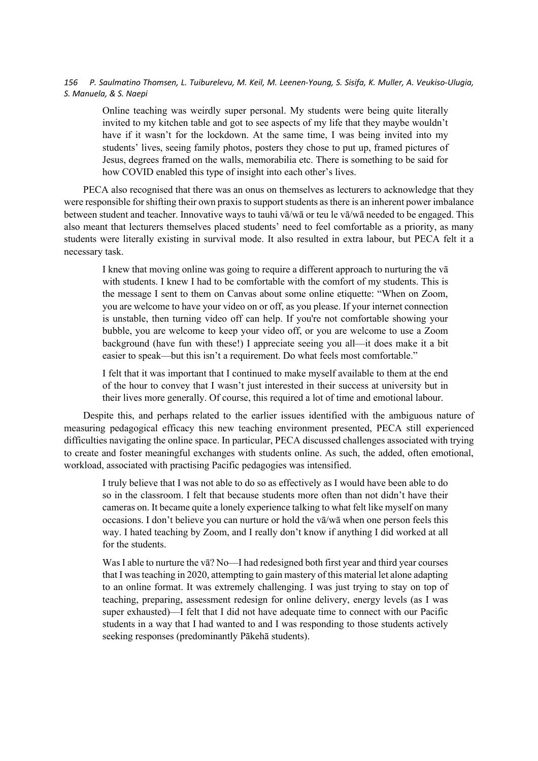Online teaching was weirdly super personal. My students were being quite literally invited to my kitchen table and got to see aspects of my life that they maybe wouldn't have if it wasn't for the lockdown. At the same time, I was being invited into my students' lives, seeing family photos, posters they chose to put up, framed pictures of Jesus, degrees framed on the walls, memorabilia etc. There is something to be said for how COVID enabled this type of insight into each other's lives.

PECA also recognised that there was an onus on themselves as lecturers to acknowledge that they were responsible for shifting their own praxis to support students as there is an inherent power imbalance between student and teacher. Innovative ways to tauhi vā/wā or teu le vā/wā needed to be engaged. This also meant that lecturers themselves placed students' need to feel comfortable as a priority, as many students were literally existing in survival mode. It also resulted in extra labour, but PECA felt it a necessary task.

I knew that moving online was going to require a different approach to nurturing the vā with students. I knew I had to be comfortable with the comfort of my students. This is the message I sent to them on Canvas about some online etiquette: "When on Zoom, you are welcome to have your video on or off, as you please. If your internet connection is unstable, then turning video off can help. If you're not comfortable showing your bubble, you are welcome to keep your video off, or you are welcome to use a Zoom background (have fun with these!) I appreciate seeing you all—it does make it a bit easier to speak—but this isn't a requirement. Do what feels most comfortable."

I felt that it was important that I continued to make myself available to them at the end of the hour to convey that I wasn't just interested in their success at university but in their lives more generally. Of course, this required a lot of time and emotional labour.

Despite this, and perhaps related to the earlier issues identified with the ambiguous nature of measuring pedagogical efficacy this new teaching environment presented, PECA still experienced difficulties navigating the online space. In particular, PECA discussed challenges associated with trying to create and foster meaningful exchanges with students online. As such, the added, often emotional, workload, associated with practising Pacific pedagogies was intensified.

I truly believe that I was not able to do so as effectively as I would have been able to do so in the classroom. I felt that because students more often than not didn't have their cameras on. It became quite a lonely experience talking to what felt like myself on many occasions. I don't believe you can nurture or hold the vā/wā when one person feels this way. I hated teaching by Zoom, and I really don't know if anything I did worked at all for the students.

Was I able to nurture the vā? No—I had redesigned both first year and third year courses that I was teaching in 2020, attempting to gain mastery of this material let alone adapting to an online format. It was extremely challenging. I was just trying to stay on top of teaching, preparing, assessment redesign for online delivery, energy levels (as I was super exhausted)—I felt that I did not have adequate time to connect with our Pacific students in a way that I had wanted to and I was responding to those students actively seeking responses (predominantly Pākehā students).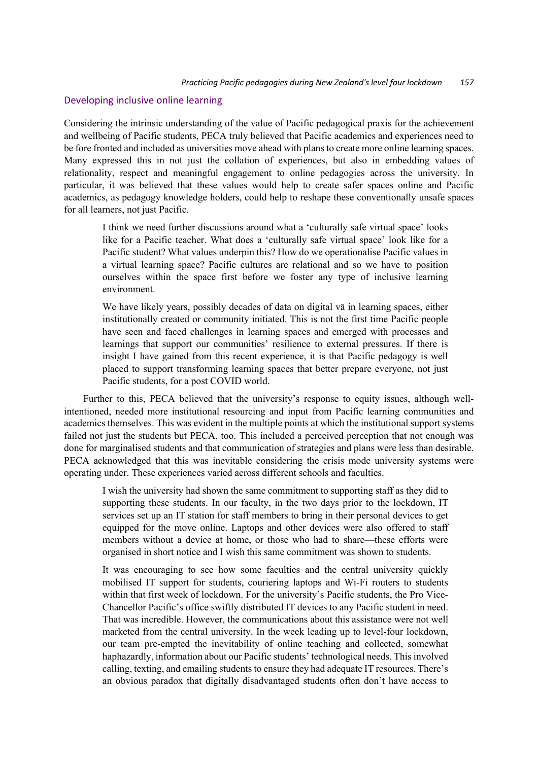#### Developing inclusive online learning

Considering the intrinsic understanding of the value of Pacific pedagogical praxis for the achievement and wellbeing of Pacific students, PECA truly believed that Pacific academics and experiences need to be fore fronted and included as universities move ahead with plans to create more online learning spaces. Many expressed this in not just the collation of experiences, but also in embedding values of relationality, respect and meaningful engagement to online pedagogies across the university. In particular, it was believed that these values would help to create safer spaces online and Pacific academics, as pedagogy knowledge holders, could help to reshape these conventionally unsafe spaces for all learners, not just Pacific.

I think we need further discussions around what a 'culturally safe virtual space' looks like for a Pacific teacher. What does a 'culturally safe virtual space' look like for a Pacific student? What values underpin this? How do we operationalise Pacific values in a virtual learning space? Pacific cultures are relational and so we have to position ourselves within the space first before we foster any type of inclusive learning environment.

We have likely years, possibly decades of data on digital va in learning spaces, either institutionally created or community initiated. This is not the first time Pacific people have seen and faced challenges in learning spaces and emerged with processes and learnings that support our communities' resilience to external pressures. If there is insight I have gained from this recent experience, it is that Pacific pedagogy is well placed to support transforming learning spaces that better prepare everyone, not just Pacific students, for a post COVID world.

Further to this, PECA believed that the university's response to equity issues, although wellintentioned, needed more institutional resourcing and input from Pacific learning communities and academics themselves. This was evident in the multiple points at which the institutional support systems failed not just the students but PECA, too. This included a perceived perception that not enough was done for marginalised students and that communication of strategies and plans were less than desirable. PECA acknowledged that this was inevitable considering the crisis mode university systems were operating under. These experiences varied across different schools and faculties.

I wish the university had shown the same commitment to supporting staff as they did to supporting these students. In our faculty, in the two days prior to the lockdown, IT services set up an IT station for staff members to bring in their personal devices to get equipped for the move online. Laptops and other devices were also offered to staff members without a device at home, or those who had to share—these efforts were organised in short notice and I wish this same commitment was shown to students.

It was encouraging to see how some faculties and the central university quickly mobilised IT support for students, couriering laptops and Wi-Fi routers to students within that first week of lockdown. For the university's Pacific students, the Pro Vice-Chancellor Pacific's office swiftly distributed IT devices to any Pacific student in need. That was incredible. However, the communications about this assistance were not well marketed from the central university. In the week leading up to level-four lockdown, our team pre-empted the inevitability of online teaching and collected, somewhat haphazardly, information about our Pacific students' technological needs. This involved calling, texting, and emailing students to ensure they had adequate IT resources. There's an obvious paradox that digitally disadvantaged students often don't have access to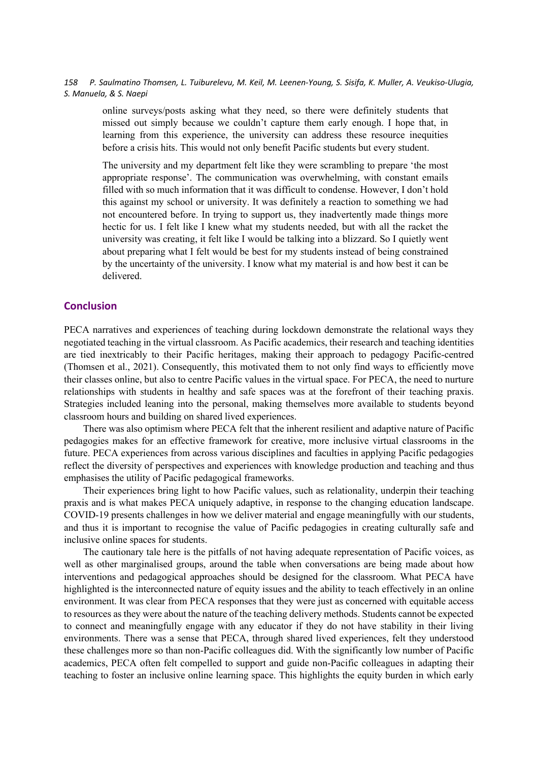online surveys/posts asking what they need, so there were definitely students that missed out simply because we couldn't capture them early enough. I hope that, in learning from this experience, the university can address these resource inequities before a crisis hits. This would not only benefit Pacific students but every student.

The university and my department felt like they were scrambling to prepare 'the most appropriate response'. The communication was overwhelming, with constant emails filled with so much information that it was difficult to condense. However, I don't hold this against my school or university. It was definitely a reaction to something we had not encountered before. In trying to support us, they inadvertently made things more hectic for us. I felt like I knew what my students needed, but with all the racket the university was creating, it felt like I would be talking into a blizzard. So I quietly went about preparing what I felt would be best for my students instead of being constrained by the uncertainty of the university. I know what my material is and how best it can be delivered.

### **Conclusion**

PECA narratives and experiences of teaching during lockdown demonstrate the relational ways they negotiated teaching in the virtual classroom. As Pacific academics, their research and teaching identities are tied inextricably to their Pacific heritages, making their approach to pedagogy Pacific-centred (Thomsen et al., 2021). Consequently, this motivated them to not only find ways to efficiently move their classes online, but also to centre Pacific values in the virtual space. For PECA, the need to nurture relationships with students in healthy and safe spaces was at the forefront of their teaching praxis. Strategies included leaning into the personal, making themselves more available to students beyond classroom hours and building on shared lived experiences.

There was also optimism where PECA felt that the inherent resilient and adaptive nature of Pacific pedagogies makes for an effective framework for creative, more inclusive virtual classrooms in the future. PECA experiences from across various disciplines and faculties in applying Pacific pedagogies reflect the diversity of perspectives and experiences with knowledge production and teaching and thus emphasises the utility of Pacific pedagogical frameworks.

Their experiences bring light to how Pacific values, such as relationality, underpin their teaching praxis and is what makes PECA uniquely adaptive, in response to the changing education landscape. COVID-19 presents challenges in how we deliver material and engage meaningfully with our students, and thus it is important to recognise the value of Pacific pedagogies in creating culturally safe and inclusive online spaces for students.

The cautionary tale here is the pitfalls of not having adequate representation of Pacific voices, as well as other marginalised groups, around the table when conversations are being made about how interventions and pedagogical approaches should be designed for the classroom. What PECA have highlighted is the interconnected nature of equity issues and the ability to teach effectively in an online environment. It was clear from PECA responses that they were just as concerned with equitable access to resources as they were about the nature of the teaching delivery methods. Students cannot be expected to connect and meaningfully engage with any educator if they do not have stability in their living environments. There was a sense that PECA, through shared lived experiences, felt they understood these challenges more so than non-Pacific colleagues did. With the significantly low number of Pacific academics, PECA often felt compelled to support and guide non-Pacific colleagues in adapting their teaching to foster an inclusive online learning space. This highlights the equity burden in which early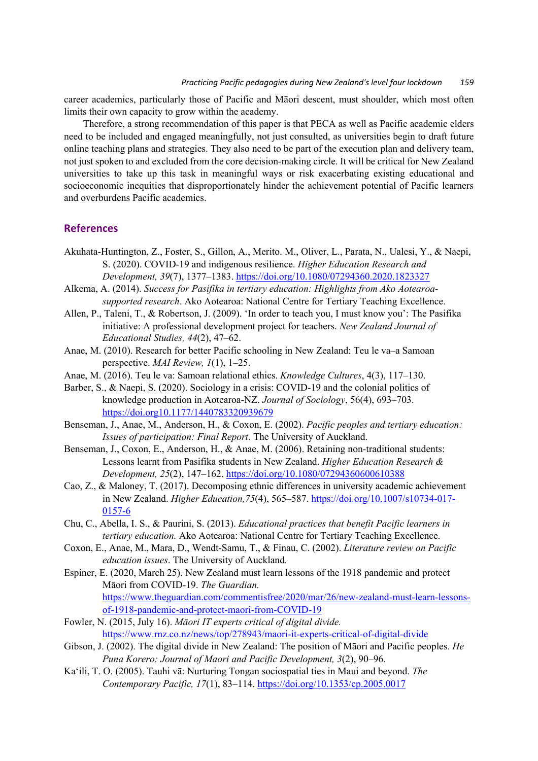career academics, particularly those of Pacific and Māori descent, must shoulder, which most often limits their own capacity to grow within the academy.

Therefore, a strong recommendation of this paper is that PECA as well as Pacific academic elders need to be included and engaged meaningfully, not just consulted, as universities begin to draft future online teaching plans and strategies. They also need to be part of the execution plan and delivery team, not just spoken to and excluded from the core decision-making circle. It will be critical for New Zealand universities to take up this task in meaningful ways or risk exacerbating existing educational and socioeconomic inequities that disproportionately hinder the achievement potential of Pacific learners and overburdens Pacific academics.

### **References**

- Akuhata-Huntington, Z., Foster, S., Gillon, A., Merito. M., Oliver, L., Parata, N., Ualesi, Y., & Naepi, S. (2020). COVID-19 and indigenous resilience. *Higher Education Research and Development, 39*(7), 1377–1383. https://doi.org/10.1080/07294360.2020.1823327
- Alkema, A. (2014). *Success for Pasifika in tertiary education: Highlights from Ako Aotearoasupported research*. Ako Aotearoa: National Centre for Tertiary Teaching Excellence.
- Allen, P., Taleni, T., & Robertson, J. (2009). 'In order to teach you, I must know you': The Pasifika initiative: A professional development project for teachers. *New Zealand Journal of Educational Studies, 44*(2), 47–62.
- Anae, M. (2010). Research for better Pacific schooling in New Zealand: Teu le va–a Samoan perspective. *MAI Review, 1*(1), 1–25.
- Anae, M. (2016). Teu le va: Samoan relational ethics. *Knowledge Cultures*, 4(3), 117–130.
- Barber, S., & Naepi, S. (2020). Sociology in a crisis: COVID-19 and the colonial politics of knowledge production in Aotearoa-NZ. *Journal of Sociology*, 56(4), 693–703. https://doi.org10.1177/1440783320939679
- Benseman, J., Anae, M., Anderson, H., & Coxon, E. (2002). *Pacific peoples and tertiary education: Issues of participation: Final Report*. The University of Auckland.
- Benseman, J., Coxon, E., Anderson, H., & Anae, M. (2006). Retaining non-traditional students: Lessons learnt from Pasifika students in New Zealand. *Higher Education Research & Development, 25*(2), 147–162. https://doi.org/10.1080/07294360600610388
- Cao, Z., & Maloney, T. (2017). Decomposing ethnic differences in university academic achievement in New Zealand. *Higher Education,75*(4), 565–587. https://doi.org/10.1007/s10734-017- 0157-6
- Chu, C., Abella, I. S., & Paurini, S. (2013). *Educational practices that benefit Pacific learners in tertiary education.* Ako Aotearoa: National Centre for Tertiary Teaching Excellence.
- Coxon, E., Anae, M., Mara, D., Wendt-Samu, T., & Finau, C. (2002). *Literature review on Pacific education issues*. The University of Auckland*.*
- Espiner, E. (2020, March 25). New Zealand must learn lessons of the 1918 pandemic and protect Māori from COVID-19. *The Guardian.* https://www.theguardian.com/commentisfree/2020/mar/26/new-zealand-must-learn-lessonsof-1918-pandemic-and-protect-maori-from-COVID-19
- Fowler, N. (2015, July 16). *Māori IT experts critical of digital divide.*  https://www.rnz.co.nz/news/top/278943/maori-it-experts-critical-of-digital-divide
- Gibson, J. (2002). The digital divide in New Zealand: The position of Māori and Pacific peoples. *He Puna Korero: Journal of Maori and Pacific Development, 3*(2), 90–96.
- Ka'ili, T. O. (2005). Tauhi vā: Nurturing Tongan sociospatial ties in Maui and beyond. *The Contemporary Pacific, 17*(1), 83–114. https://doi.org/10.1353/cp.2005.0017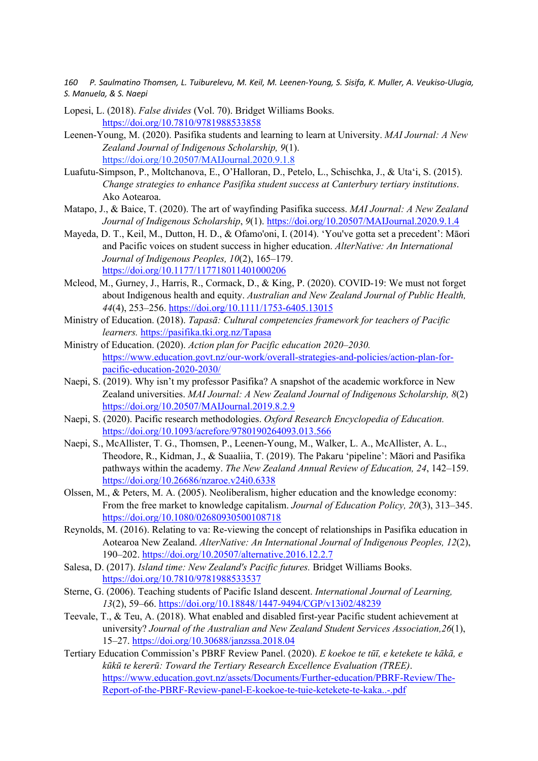- Lopesi, L. (2018). *False divides* (Vol. 70). Bridget Williams Books. https://doi.org/10.7810/9781988533858
- Leenen-Young, M. (2020). Pasifika students and learning to learn at University. *MAI Journal: A New Zealand Journal of Indigenous Scholarship, 9*(1). https://doi.org/10.20507/MAIJournal.2020.9.1.8
- Luafutu-Simpson, P., Moltchanova, E., O'Halloran, D., Petelo, L., Schischka, J., & Uta'i, S. (2015). *Change strategies to enhance Pasifika student success at Canterbury tertiary institutions*. Ako Aotearoa.
- Matapo, J., & Baice, T. (2020). The art of wayfinding Pasifika success. *MAI Journal: A New Zealand Journal of Indigenous Scholarship*, *9*(1). https://doi.org/10.20507/MAIJournal.2020.9.1.4
- Mayeda, D. T., Keil, M., Dutton, H. D., & Ofamo'oni, I. (2014). 'You've gotta set a precedent': Māori and Pacific voices on student success in higher education. *AlterNative: An International Journal of Indigenous Peoples, 10*(2), 165–179. https://doi.org/10.1177/117718011401000206
- Mcleod, M., Gurney, J., Harris, R., Cormack, D., & King, P. (2020). COVID‐19: We must not forget about Indigenous health and equity. *Australian and New Zealand Journal of Public Health, 44*(4), 253–256. https://doi.org/10.1111/1753-6405.13015
- Ministry of Education. (2018). *Tapasā: Cultural competencies framework for teachers of Pacific learners.* https://pasifika.tki.org.nz/Tapasa
- Ministry of Education. (2020). *Action plan for Pacific education 2020–2030.*  https://www.education.govt.nz/our-work/overall-strategies-and-policies/action-plan-forpacific-education-2020-2030/
- Naepi, S. (2019). Why isn't my professor Pasifika? A snapshot of the academic workforce in New Zealand universities. *MAI Journal: A New Zealand Journal of Indigenous Scholarship, 8*(2) https://doi.org/10.20507/MAIJournal.2019.8.2.9
- Naepi, S. (2020). Pacific research methodologies. *Oxford Research Encyclopedia of Education.* https://doi.org/10.1093/acrefore/9780190264093.013.566
- Naepi, S., McAllister, T. G., Thomsen, P., Leenen-Young, M., Walker, L. A., McAllister, A. L., Theodore, R., Kidman, J., & Suaaliia, T. (2019). The Pakaru 'pipeline': Māori and Pasifika pathways within the academy. *The New Zealand Annual Review of Education, 24*, 142–159. https://doi.org/10.26686/nzaroe.v24i0.6338
- Olssen, M., & Peters, M. A. (2005). Neoliberalism, higher education and the knowledge economy: From the free market to knowledge capitalism. *Journal of Education Policy, 20*(3), 313–345. https://doi.org/10.1080/02680930500108718
- Reynolds, M. (2016). Relating to va: Re-viewing the concept of relationships in Pasifika education in Aotearoa New Zealand. *AlterNative: An International Journal of Indigenous Peoples, 12*(2), 190–202. https://doi.org/10.20507/alternative.2016.12.2.7
- Salesa, D. (2017). *Island time: New Zealand's Pacific futures.* Bridget Williams Books. https://doi.org/10.7810/9781988533537
- Sterne, G. (2006). Teaching students of Pacific Island descent. *International Journal of Learning, 13*(2), 59–66. https://doi.org/10.18848/1447-9494/CGP/v13i02/48239
- Teevale, T., & Teu, A. (2018). What enabled and disabled first-year Pacific student achievement at university? *Journal of the Australian and New Zealand Student Services Association,26*(1), 15–27. https://doi.org/10.30688/janzssa.2018.04
- Tertiary Education Commission's PBRF Review Panel. (2020). *E koekoe te tūī, e ketekete te kākā, e kūkū te kererū: Toward the Tertiary Research Excellence Evaluation (TREE)*. https://www.education.govt.nz/assets/Documents/Further-education/PBRF-Review/The-Report-of-the-PBRF-Review-panel-E-koekoe-te-tuie-ketekete-te-kaka..-.pdf